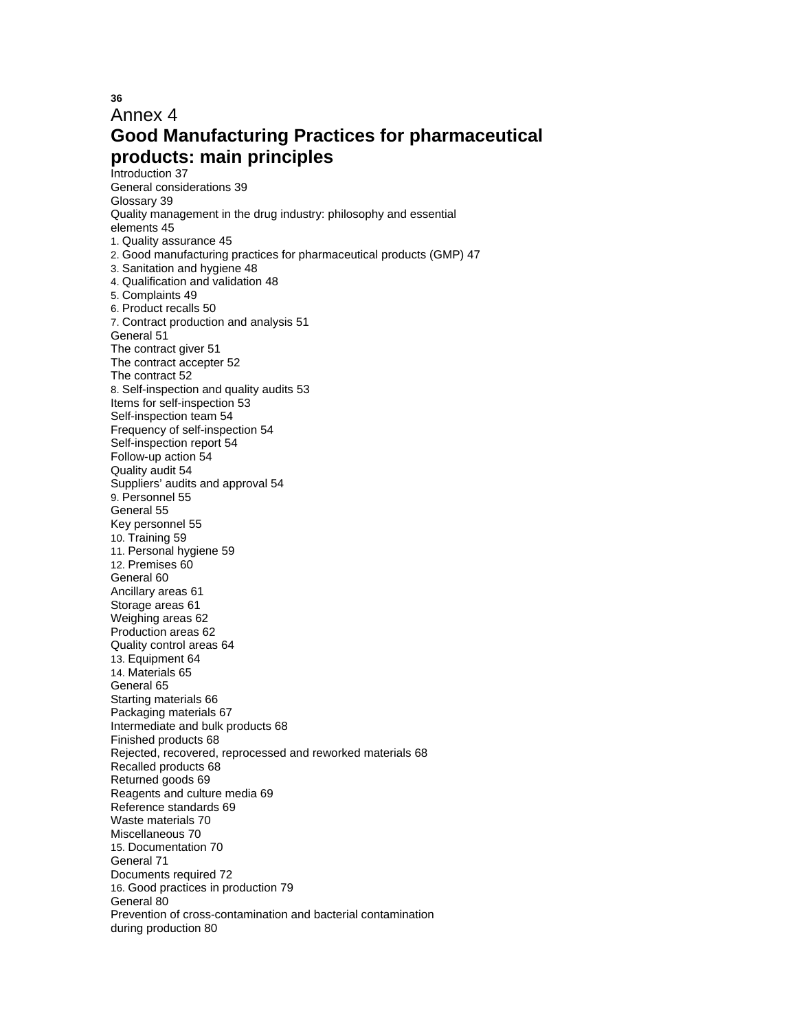**36**  Annex 4

# **Good Manufacturing Practices for pharmaceutical products: main principles**

Introduction 37 General considerations 39 Glossary 39 Quality management in the drug industry: philosophy and essential elements 45 1. Quality assurance 45 2. Good manufacturing practices for pharmaceutical products (GMP) 47 3. Sanitation and hygiene 48 4. Qualification and validation 48 5. Complaints 49 6. Product recalls 50 7. Contract production and analysis 51 General 51 The contract giver 51 The contract accepter 52 The contract 52 8. Self-inspection and quality audits 53 Items for self-inspection 53 Self-inspection team 54 Frequency of self-inspection 54 Self-inspection report 54 Follow-up action 54 Quality audit 54 Suppliers' audits and approval 54 9. Personnel 55 General 55 Key personnel 55 10. Training 59 11. Personal hygiene 59 12. Premises 60 General 60 Ancillary areas 61 Storage areas 61 Weighing areas 62 Production areas 62 Quality control areas 64 13. Equipment 64 14. Materials 65 General 65 Starting materials 66 Packaging materials 67 Intermediate and bulk products 68 Finished products 68 Rejected, recovered, reprocessed and reworked materials 68 Recalled products 68 Returned goods 69 Reagents and culture media 69 Reference standards 69 Waste materials 70 Miscellaneous 70 15. Documentation 70 General 71 Documents required 72 16. Good practices in production 79 General 80 Prevention of cross-contamination and bacterial contamination during production 80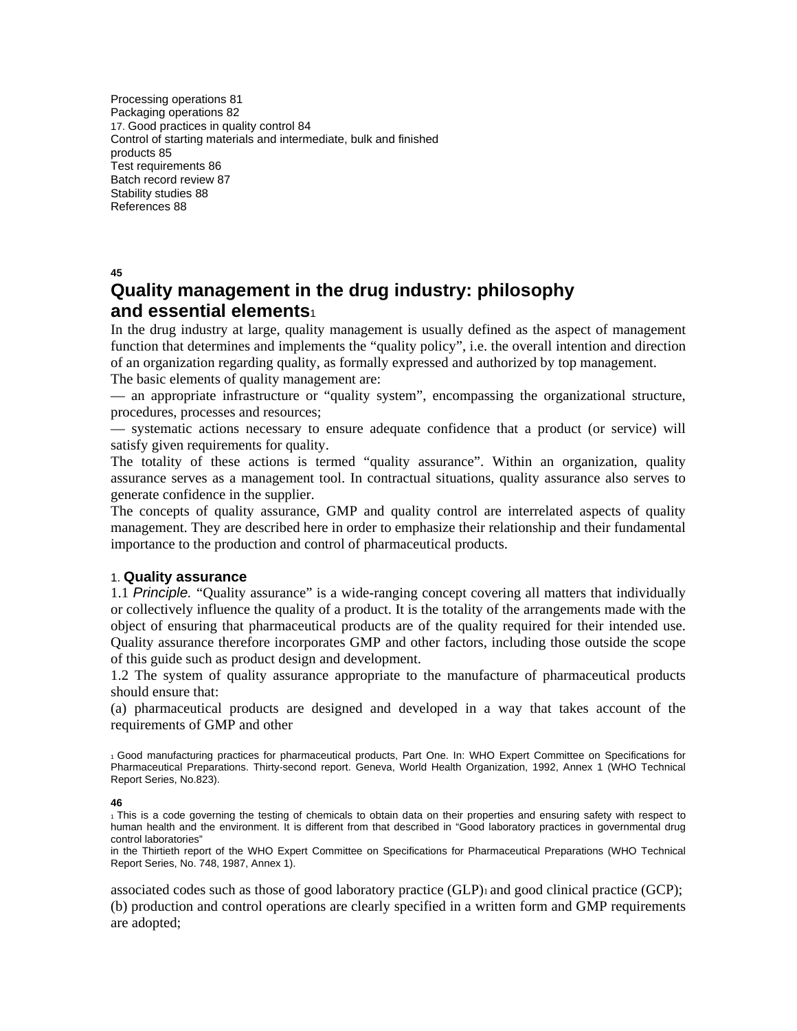Processing operations 81 Packaging operations 82 17. Good practices in quality control 84 Control of starting materials and intermediate, bulk and finished products 85 Test requirements 86 Batch record review 87 Stability studies 88 References 88

**45** 

## **Quality management in the drug industry: philosophy and essential elements**<sup>1</sup>

In the drug industry at large, quality management is usually defined as the aspect of management function that determines and implements the "quality policy", i.e. the overall intention and direction of an organization regarding quality, as formally expressed and authorized by top management.

The basic elements of quality management are:

— an appropriate infrastructure or "quality system", encompassing the organizational structure, procedures, processes and resources;

— systematic actions necessary to ensure adequate confidence that a product (or service) will satisfy given requirements for quality.

The totality of these actions is termed "quality assurance". Within an organization, quality assurance serves as a management tool. In contractual situations, quality assurance also serves to generate confidence in the supplier.

The concepts of quality assurance, GMP and quality control are interrelated aspects of quality management. They are described here in order to emphasize their relationship and their fundamental importance to the production and control of pharmaceutical products.

## 1. **Quality assurance**

1.1 *Principle.* "Quality assurance" is a wide-ranging concept covering all matters that individually or collectively influence the quality of a product. It is the totality of the arrangements made with the object of ensuring that pharmaceutical products are of the quality required for their intended use. Quality assurance therefore incorporates GMP and other factors, including those outside the scope of this guide such as product design and development.

1.2 The system of quality assurance appropriate to the manufacture of pharmaceutical products should ensure that:

(a) pharmaceutical products are designed and developed in a way that takes account of the requirements of GMP and other

#### **46**

1 This is a code governing the testing of chemicals to obtain data on their properties and ensuring safety with respect to human health and the environment. It is different from that described in "Good laboratory practices in governmental drug control laboratories"

in the Thirtieth report of the WHO Expert Committee on Specifications for Pharmaceutical Preparations (WHO Technical Report Series, No. 748, 1987, Annex 1).

associated codes such as those of good laboratory practice (GLP)1 and good clinical practice (GCP); (b) production and control operations are clearly specified in a written form and GMP requirements are adopted;

<sup>1</sup> Good manufacturing practices for pharmaceutical products, Part One. In: WHO Expert Committee on Specifications for Pharmaceutical Preparations. Thirty-second report. Geneva, World Health Organization, 1992, Annex 1 (WHO Technical Report Series, No.823).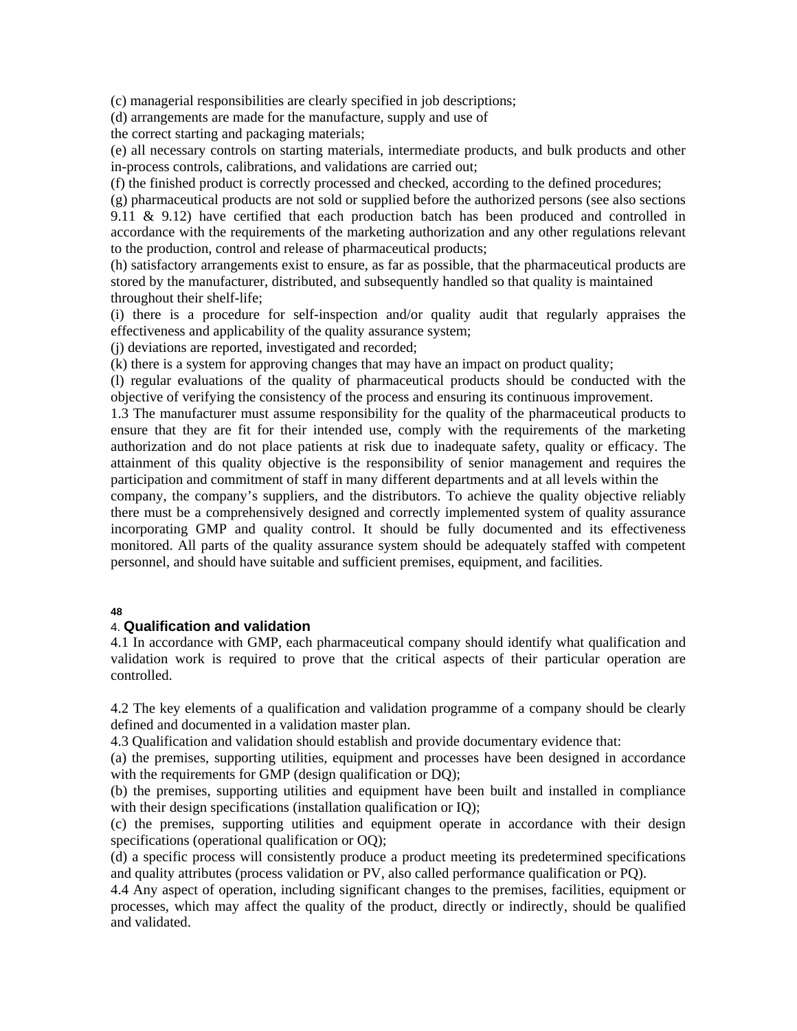(c) managerial responsibilities are clearly specified in job descriptions;

(d) arrangements are made for the manufacture, supply and use of

the correct starting and packaging materials;

(e) all necessary controls on starting materials, intermediate products, and bulk products and other in-process controls, calibrations, and validations are carried out;

(f) the finished product is correctly processed and checked, according to the defined procedures;

(g) pharmaceutical products are not sold or supplied before the authorized persons (see also sections 9.11 & 9.12) have certified that each production batch has been produced and controlled in accordance with the requirements of the marketing authorization and any other regulations relevant to the production, control and release of pharmaceutical products;

(h) satisfactory arrangements exist to ensure, as far as possible, that the pharmaceutical products are stored by the manufacturer, distributed, and subsequently handled so that quality is maintained throughout their shelf-life;

(i) there is a procedure for self-inspection and/or quality audit that regularly appraises the effectiveness and applicability of the quality assurance system;

(j) deviations are reported, investigated and recorded;

(k) there is a system for approving changes that may have an impact on product quality;

(l) regular evaluations of the quality of pharmaceutical products should be conducted with the objective of verifying the consistency of the process and ensuring its continuous improvement.

1.3 The manufacturer must assume responsibility for the quality of the pharmaceutical products to ensure that they are fit for their intended use, comply with the requirements of the marketing authorization and do not place patients at risk due to inadequate safety, quality or efficacy. The attainment of this quality objective is the responsibility of senior management and requires the participation and commitment of staff in many different departments and at all levels within the

company, the company's suppliers, and the distributors. To achieve the quality objective reliably there must be a comprehensively designed and correctly implemented system of quality assurance incorporating GMP and quality control. It should be fully documented and its effectiveness monitored. All parts of the quality assurance system should be adequately staffed with competent personnel, and should have suitable and sufficient premises, equipment, and facilities.

## **48**

## 4. **Qualification and validation**

4.1 In accordance with GMP, each pharmaceutical company should identify what qualification and validation work is required to prove that the critical aspects of their particular operation are controlled.

4.2 The key elements of a qualification and validation programme of a company should be clearly defined and documented in a validation master plan.

4.3 Qualification and validation should establish and provide documentary evidence that:

(a) the premises, supporting utilities, equipment and processes have been designed in accordance with the requirements for GMP (design qualification or DQ);

(b) the premises, supporting utilities and equipment have been built and installed in compliance with their design specifications (installation qualification or IQ);

(c) the premises, supporting utilities and equipment operate in accordance with their design specifications (operational qualification or OQ);

(d) a specific process will consistently produce a product meeting its predetermined specifications and quality attributes (process validation or PV, also called performance qualification or PQ).

4.4 Any aspect of operation, including significant changes to the premises, facilities, equipment or processes, which may affect the quality of the product, directly or indirectly, should be qualified and validated.